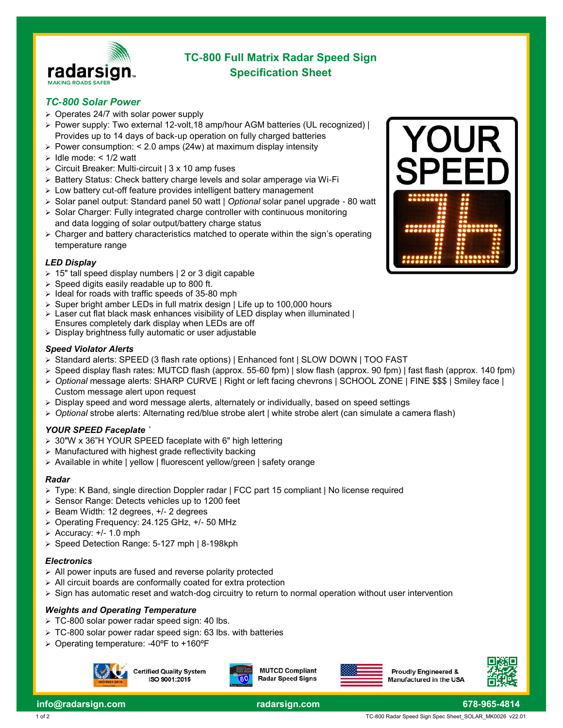

# **TC-800 Full Matrix Radar Speed Sign Specification Sheet**

# *TC-800 Solar Power*

- ➢ Operates 24/7 with solar power supply
- ➢ Power supply: Two external 12-volt,18 amp/hour AGM batteries (UL recognized) | Provides up to 14 days of back-up operation on fully charged batteries
- ➢ Power consumption: < 2.0 amps (24w) at maximum display intensity
- $\geq$  Idle mode: < 1/2 watt
- ➢ Circuit Breaker: Multi-circuit | 3 x 10 amp fuses
- ➢ Battery Status: Check battery charge levels and solar amperage via Wi-Fi
- ➢ Low battery cut-off feature provides intelligent battery management
- ➢ Solar panel output: Standard panel 50 watt | *Optional* solar panel upgrade 80 watt
- ➢ Solar Charger: Fully integrated charge controller with continuous monitoring and data logging of solar output/battery charge status
- $\triangleright$  Charger and battery characteristics matched to operate within the sign's operating temperature range

#### *LED Display*

- ➢ 15" tall speed display numbers | 2 or 3 digit capable
- ➢ Speed digits easily readable up to 800 ft.
- ➢ Ideal for roads with traffic speeds of 35-80 mph
- Super bright amber LEDs in full matrix design | Life up to 100,000 hours
- Laser cut flat black mask enhances visibility of LED display when illuminated | Ensures completely dark display when LEDs are off
- ➢ Display brightness fully automatic or user adjustable

#### *Speed Violator Alerts*

- ➢ Standard alerts: SPEED (3 flash rate options) | Enhanced font | SLOW DOWN | TOO FAST
- ➢ Speed display flash rates: MUTCD flash (approx. 55-60 fpm) | slow flash (approx. 90 fpm) | fast flash (approx. 140 fpm)
- ➢ *Optional* message alerts: SHARP CURVE | Right or left facing chevrons | SCHOOL ZONE | FINE \$\$\$ | Smiley face | Custom message alert upon request
- $\triangleright$  Display speed and word message alerts, alternately or individually, based on speed settings
- ➢ *Optional* strobe alerts: Alternating red/blue strobe alert | white strobe alert (can simulate a camera flash)

#### *YOUR SPEED Faceplate `*

- ➢ 30"W x 36"H YOUR SPEED faceplate with 6" high lettering
- ➢ Manufactured with highest grade reflectivity backing
- ➢ Available in white | yellow | fluorescent yellow/green | safety orange

#### *Radar*

- ➢ Type: K Band, single direction Doppler radar | FCC part 15 compliant | No license required
- ➢ Sensor Range: Detects vehicles up to 1200 feet
- ➢ Beam Width: 12 degrees, +/- 2 degrees
- ➢ Operating Frequency: 24.125 GHz, +/- 50 MHz
- $\ge$  Accuracy:  $+/- 1.0$  mph
- ➢ Speed Detection Range: 5-127 mph | 8-198kph

#### *Electronics*

- ➢ All power inputs are fused and reverse polarity protected
- ➢ All circuit boards are conformally coated for extra protection
- ➢ Sign has automatic reset and watch-dog circuitry to return to normal operation without user intervention

#### *Weights and Operating Temperature*

- ➢ TC-800 solar power radar speed sign: 40 lbs.
- ➢ TC-800 solar power radar speed sign: 63 lbs. with batteries
- ➢ Operating temperature: -40ºF to +160ºF





**MUTCD Compliant Radar Speed Signs** 





YOU